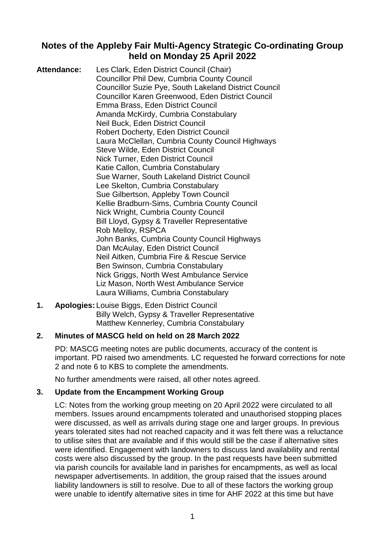## **Notes of the Appleby Fair Multi-Agency Strategic Co-ordinating Group held on Monday 25 April 2022**

**Attendance:** Les Clark, Eden District Council (Chair) Councillor Phil Dew, Cumbria County Council Councillor Suzie Pye, South Lakeland District Council Councillor Karen Greenwood, Eden District Council Emma Brass, Eden District Council Amanda McKirdy, Cumbria Constabulary Neil Buck, Eden District Council Robert Docherty, Eden District Council Laura McClellan, Cumbria County Council Highways Steve Wilde, Eden District Council Nick Turner, Eden District Council Katie Callon, Cumbria Constabulary Sue Warner, South Lakeland District Council Lee Skelton, Cumbria Constabulary Sue Gilbertson, Appleby Town Council Kellie Bradburn-Sims, Cumbria County Council Nick Wright, Cumbria County Council Bill Lloyd, Gypsy & Traveller Representative Rob Melloy, RSPCA John Banks, Cumbria County Council Highways Dan McAulay, Eden District Council Neil Aitken, Cumbria Fire & Rescue Service Ben Swinson, Cumbria Constabulary Nick Griggs, North West Ambulance Service Liz Mason, North West Ambulance Service Laura Williams, Cumbria Constabulary

**1. Apologies:** Louise Biggs, Eden District Council Billy Welch, Gypsy & Traveller Representative Matthew Kennerley, Cumbria Constabulary

## **2. Minutes of MASCG held on held on 28 March 2022**

PD: MASCG meeting notes are public documents, accuracy of the content is important. PD raised two amendments. LC requested he forward corrections for note 2 and note 6 to KBS to complete the amendments.

No further amendments were raised, all other notes agreed.

#### **3. Update from the Encampment Working Group**

LC: Notes from the working group meeting on 20 April 2022 were circulated to all members. Issues around encampments tolerated and unauthorised stopping places were discussed, as well as arrivals during stage one and larger groups. In previous years tolerated sites had not reached capacity and it was felt there was a reluctance to utilise sites that are available and if this would still be the case if alternative sites were identified. Engagement with landowners to discuss land availability and rental costs were also discussed by the group. In the past requests have been submitted via parish councils for available land in parishes for encampments, as well as local newspaper advertisements. In addition, the group raised that the issues around liability landowners is still to resolve. Due to all of these factors the working group were unable to identify alternative sites in time for AHF 2022 at this time but have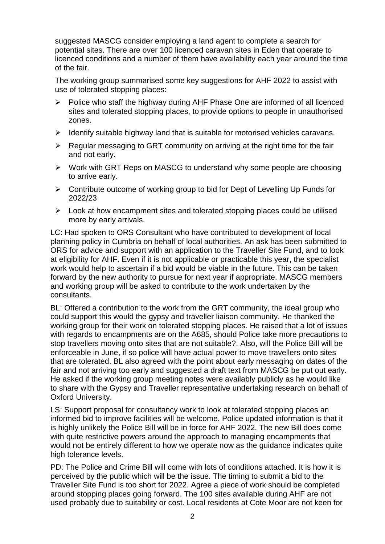suggested MASCG consider employing a land agent to complete a search for potential sites. There are over 100 licenced caravan sites in Eden that operate to licenced conditions and a number of them have availability each year around the time of the fair.

The working group summarised some key suggestions for AHF 2022 to assist with use of tolerated stopping places:

- $\triangleright$  Police who staff the highway during AHF Phase One are informed of all licenced sites and tolerated stopping places, to provide options to people in unauthorised zones.
- $\triangleright$  Identify suitable highway land that is suitable for motorised vehicles caravans.
- $\triangleright$  Regular messaging to GRT community on arriving at the right time for the fair and not early.
- $\triangleright$  Work with GRT Reps on MASCG to understand why some people are choosing to arrive early.
- $\triangleright$  Contribute outcome of working group to bid for Dept of Levelling Up Funds for 2022/23
- $\triangleright$  Look at how encampment sites and tolerated stopping places could be utilised more by early arrivals.

LC: Had spoken to ORS Consultant who have contributed to development of local planning policy in Cumbria on behalf of local authorities. An ask has been submitted to ORS for advice and support with an application to the Traveller Site Fund, and to look at eligibility for AHF. Even if it is not applicable or practicable this year, the specialist work would help to ascertain if a bid would be viable in the future. This can be taken forward by the new authority to pursue for next year if appropriate. MASCG members and working group will be asked to contribute to the work undertaken by the consultants.

BL: Offered a contribution to the work from the GRT community, the ideal group who could support this would the gypsy and traveller liaison community. He thanked the working group for their work on tolerated stopping places. He raised that a lot of issues with regards to encampments are on the A685, should Police take more precautions to stop travellers moving onto sites that are not suitable?. Also, will the Police Bill will be enforceable in June, if so police will have actual power to move travellers onto sites that are tolerated. BL also agreed with the point about early messaging on dates of the fair and not arriving too early and suggested a draft text from MASCG be put out early. He asked if the working group meeting notes were availably publicly as he would like to share with the Gypsy and Traveller representative undertaking research on behalf of Oxford University.

LS: Support proposal for consultancy work to look at tolerated stopping places an informed bid to improve facilities will be welcome. Police updated information is that it is highly unlikely the Police Bill will be in force for AHF 2022. The new Bill does come with quite restrictive powers around the approach to managing encampments that would not be entirely different to how we operate now as the guidance indicates quite high tolerance levels.

PD: The Police and Crime Bill will come with lots of conditions attached. It is how it is perceived by the public which will be the issue. The timing to submit a bid to the Traveller Site Fund is too short for 2022. Agree a piece of work should be completed around stopping places going forward. The 100 sites available during AHF are not used probably due to suitability or cost. Local residents at Cote Moor are not keen for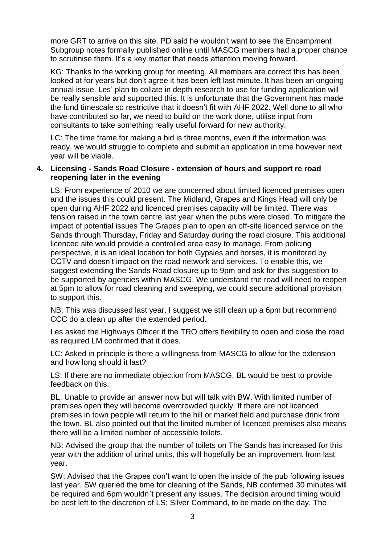more GRT to arrive on this site. PD said he wouldn't want to see the Encampment Subgroup notes formally published online until MASCG members had a proper chance to scrutinise them. It's a key matter that needs attention moving forward.

KG: Thanks to the working group for meeting. All members are correct this has been looked at for years but don't agree it has been left last minute. It has been an ongoing annual issue. Les' plan to collate in depth research to use for funding application will be really sensible and supported this. It is unfortunate that the Government has made the fund timescale so restrictive that it doesn't fit with AHF 2022. Well done to all who have contributed so far, we need to build on the work done, utilise input from consultants to take something really useful forward for new authority.

LC: The time frame for making a bid is three months, even if the information was ready, we would struggle to complete and submit an application in time however next year will be viable.

#### **4. Licensing - Sands Road Closure - extension of hours and support re road reopening later in the evening**

LS: From experience of 2010 we are concerned about limited licenced premises open and the issues this could present. The Midland, Grapes and Kings Head will only be open during AHF 2022 and licenced premises capacity will be limited. There was tension raised in the town centre last year when the pubs were closed. To mitigate the impact of potential issues The Grapes plan to open an off-site licenced service on the Sands through Thursday, Friday and Saturday during the road closure. This additional licenced site would provide a controlled area easy to manage. From policing perspective, it is an ideal location for both Gypsies and horses, it is monitored by CCTV and doesn't impact on the road network and services. To enable this, we suggest extending the Sands Road closure up to 9pm and ask for this suggestion to be supported by agencies within MASCG. We understand the road will need to reopen at 5pm to allow for road cleaning and sweeping, we could secure additional provision to support this.

NB: This was discussed last year. I suggest we still clean up a 6pm but recommend CCC do a clean up after the extended period.

Les asked the Highways Officer if the TRO offers flexibility to open and close the road as required LM confirmed that it does.

LC: Asked in principle is there a willingness from MASCG to allow for the extension and how long should it last?

LS: If there are no immediate objection from MASCG, BL would be best to provide feedback on this.

BL: Unable to provide an answer now but will talk with BW. With limited number of premises open they will become overcrowded quickly. If there are not licenced premises in town people will return to the hill or market field and purchase drink from the town. BL also pointed out that the limited number of licenced premises also means there will be a limited number of accessible toilets.

NB: Advised the group that the number of toilets on The Sands has increased for this year with the addition of urinal units, this will hopefully be an improvement from last year.

SW: Advised that the Grapes don't want to open the inside of the pub following issues last year. SW queried the time for cleaning of the Sands, NB confirmed 30 minutes will be required and 6pm wouldn`t present any issues. The decision around timing would be best left to the discretion of LS; Silver Command, to be made on the day. The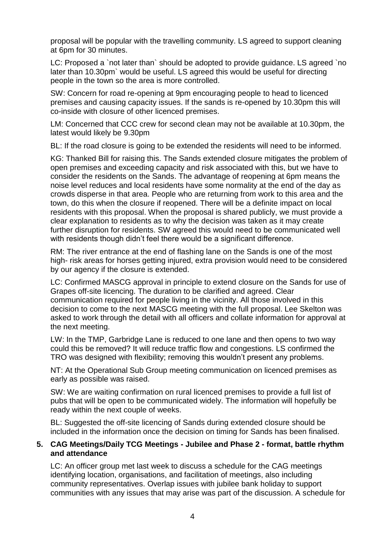proposal will be popular with the travelling community. LS agreed to support cleaning at 6pm for 30 minutes.

LC: Proposed a `not later than` should be adopted to provide guidance. LS agreed `no later than 10.30pm` would be useful. LS agreed this would be useful for directing people in the town so the area is more controlled.

SW: Concern for road re-opening at 9pm encouraging people to head to licenced premises and causing capacity issues. If the sands is re-opened by 10.30pm this will co-inside with closure of other licenced premises.

LM: Concerned that CCC crew for second clean may not be available at 10.30pm, the latest would likely be 9.30pm

BL: If the road closure is going to be extended the residents will need to be informed.

KG: Thanked Bill for raising this. The Sands extended closure mitigates the problem of open premises and exceeding capacity and risk associated with this, but we have to consider the residents on the Sands. The advantage of reopening at 6pm means the noise level reduces and local residents have some normality at the end of the day as crowds disperse in that area. People who are returning from work to this area and the town, do this when the closure if reopened. There will be a definite impact on local residents with this proposal. When the proposal is shared publicly, we must provide a clear explanation to residents as to why the decision was taken as it may create further disruption for residents. SW agreed this would need to be communicated well with residents though didn't feel there would be a significant difference.

RM: The river entrance at the end of flashing lane on the Sands is one of the most high- risk areas for horses getting injured, extra provision would need to be considered by our agency if the closure is extended.

LC: Confirmed MASCG approval in principle to extend closure on the Sands for use of Grapes off-site licencing. The duration to be clarified and agreed. Clear communication required for people living in the vicinity. All those involved in this decision to come to the next MASCG meeting with the full proposal. Lee Skelton was asked to work through the detail with all officers and collate information for approval at the next meeting.

LW: In the TMP, Garbridge Lane is reduced to one lane and then opens to two way could this be removed? It will reduce traffic flow and congestions. LS confirmed the TRO was designed with flexibility; removing this wouldn't present any problems.

NT: At the Operational Sub Group meeting communication on licenced premises as early as possible was raised.

SW: We are waiting confirmation on rural licenced premises to provide a full list of pubs that will be open to be communicated widely. The information will hopefully be ready within the next couple of weeks.

BL: Suggested the off-site licencing of Sands during extended closure should be included in the information once the decision on timing for Sands has been finalised.

#### **5. CAG Meetings/Daily TCG Meetings - Jubilee and Phase 2 - format, battle rhythm and attendance**

LC: An officer group met last week to discuss a schedule for the CAG meetings identifying location, organisations, and facilitation of meetings, also including community representatives. Overlap issues with jubilee bank holiday to support communities with any issues that may arise was part of the discussion. A schedule for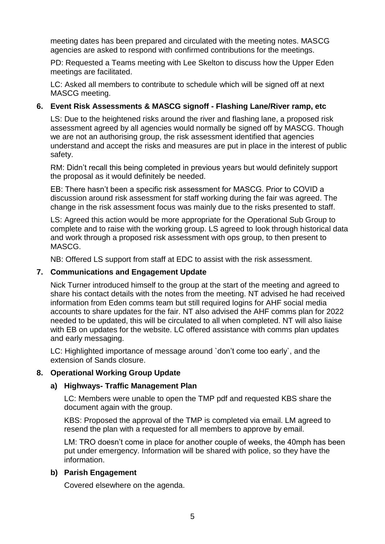meeting dates has been prepared and circulated with the meeting notes. MASCG agencies are asked to respond with confirmed contributions for the meetings.

PD: Requested a Teams meeting with Lee Skelton to discuss how the Upper Eden meetings are facilitated.

LC: Asked all members to contribute to schedule which will be signed off at next MASCG meeting.

### **6. Event Risk Assessments & MASCG signoff - Flashing Lane/River ramp, etc**

LS: Due to the heightened risks around the river and flashing lane, a proposed risk assessment agreed by all agencies would normally be signed off by MASCG. Though we are not an authorising group, the risk assessment identified that agencies understand and accept the risks and measures are put in place in the interest of public safety.

RM: Didn't recall this being completed in previous years but would definitely support the proposal as it would definitely be needed.

EB: There hasn't been a specific risk assessment for MASCG. Prior to COVID a discussion around risk assessment for staff working during the fair was agreed. The change in the risk assessment focus was mainly due to the risks presented to staff.

LS: Agreed this action would be more appropriate for the Operational Sub Group to complete and to raise with the working group. LS agreed to look through historical data and work through a proposed risk assessment with ops group, to then present to MASCG.

NB: Offered LS support from staff at EDC to assist with the risk assessment.

#### **7. Communications and Engagement Update**

Nick Turner introduced himself to the group at the start of the meeting and agreed to share his contact details with the notes from the meeting. NT advised he had received information from Eden comms team but still required logins for AHF social media accounts to share updates for the fair. NT also advised the AHF comms plan for 2022 needed to be updated, this will be circulated to all when completed. NT will also liaise with EB on updates for the website. LC offered assistance with comms plan updates and early messaging.

LC: Highlighted importance of message around `don't come too early`, and the extension of Sands closure.

#### **8. Operational Working Group Update**

#### **a) Highways- Traffic Management Plan**

LC: Members were unable to open the TMP pdf and requested KBS share the document again with the group.

KBS: Proposed the approval of the TMP is completed via email. LM agreed to resend the plan with a requested for all members to approve by email.

LM: TRO doesn't come in place for another couple of weeks, the 40mph has been put under emergency. Information will be shared with police, so they have the information.

#### **b) Parish Engagement**

Covered elsewhere on the agenda.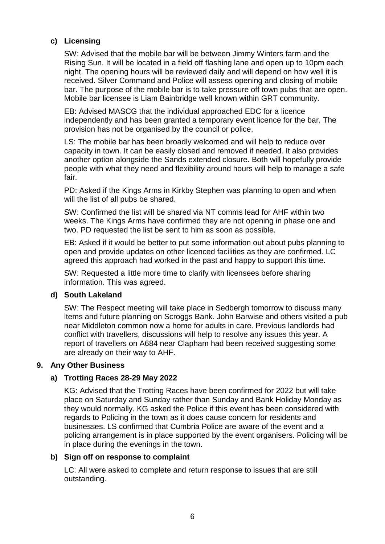## **c) Licensing**

SW: Advised that the mobile bar will be between Jimmy Winters farm and the Rising Sun. It will be located in a field off flashing lane and open up to 10pm each night. The opening hours will be reviewed daily and will depend on how well it is received. Silver Command and Police will assess opening and closing of mobile bar. The purpose of the mobile bar is to take pressure off town pubs that are open. Mobile bar licensee is Liam Bainbridge well known within GRT community.

EB: Advised MASCG that the individual approached EDC for a licence independently and has been granted a temporary event licence for the bar. The provision has not be organised by the council or police.

LS: The mobile bar has been broadly welcomed and will help to reduce over capacity in town. It can be easily closed and removed if needed. It also provides another option alongside the Sands extended closure. Both will hopefully provide people with what they need and flexibility around hours will help to manage a safe fair.

PD: Asked if the Kings Arms in Kirkby Stephen was planning to open and when will the list of all pubs be shared.

SW: Confirmed the list will be shared via NT comms lead for AHF within two weeks. The Kings Arms have confirmed they are not opening in phase one and two. PD requested the list be sent to him as soon as possible.

EB: Asked if it would be better to put some information out about pubs planning to open and provide updates on other licenced facilities as they are confirmed. LC agreed this approach had worked in the past and happy to support this time.

SW: Requested a little more time to clarify with licensees before sharing information. This was agreed.

## **d) South Lakeland**

SW: The Respect meeting will take place in Sedbergh tomorrow to discuss many items and future planning on Scroggs Bank. John Barwise and others visited a pub near Middleton common now a home for adults in care. Previous landlords had conflict with travellers, discussions will help to resolve any issues this year. A report of travellers on A684 near Clapham had been received suggesting some are already on their way to AHF.

#### **9. Any Other Business**

## **a) Trotting Races 28-29 May 2022**

KG: Advised that the Trotting Races have been confirmed for 2022 but will take place on Saturday and Sunday rather than Sunday and Bank Holiday Monday as they would normally. KG asked the Police if this event has been considered with regards to Policing in the town as it does cause concern for residents and businesses. LS confirmed that Cumbria Police are aware of the event and a policing arrangement is in place supported by the event organisers. Policing will be in place during the evenings in the town.

#### **b) Sign off on response to complaint**

LC: All were asked to complete and return response to issues that are still outstanding.